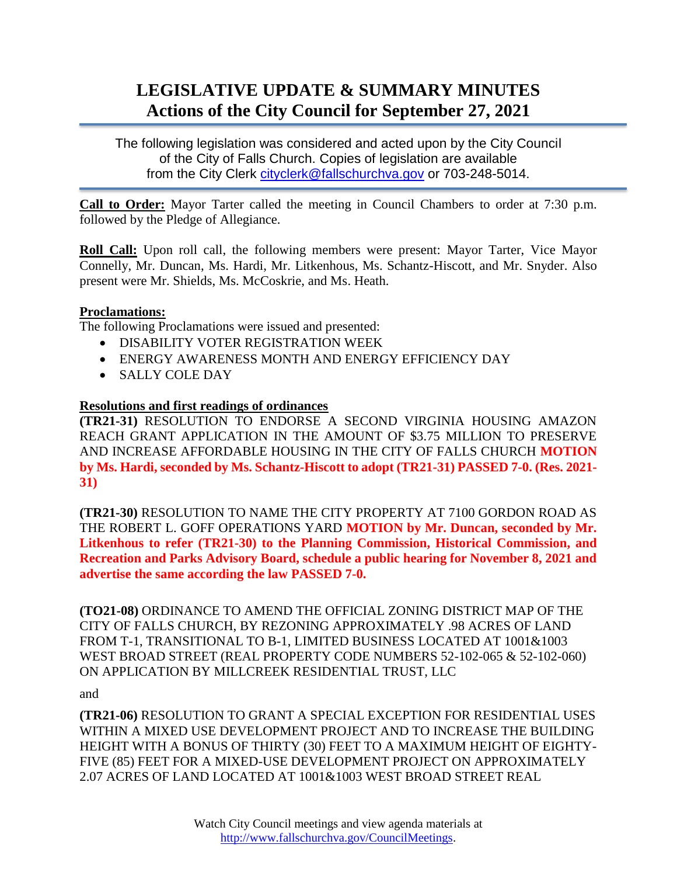# **LEGISLATIVE UPDATE & SUMMARY MINUTES Actions of the City Council for September 27, 2021**

The following legislation was considered and acted upon by the City Council of the City of Falls Church. Copies of legislation are available from the City Clerk [cityclerk@fallschurchva.gov](mailto:cityclerk@fallschurchva.gov) or 703-248-5014.

**Call to Order:** Mayor Tarter called the meeting in Council Chambers to order at 7:30 p.m. followed by the Pledge of Allegiance.

**Roll Call:** Upon roll call, the following members were present: Mayor Tarter, Vice Mayor Connelly, Mr. Duncan, Ms. Hardi, Mr. Litkenhous, Ms. Schantz-Hiscott, and Mr. Snyder. Also present were Mr. Shields, Ms. McCoskrie, and Ms. Heath.

## **Proclamations:**

The following Proclamations were issued and presented:

- DISABILITY VOTER REGISTRATION WEEK
- ENERGY AWARENESS MONTH AND ENERGY EFFICIENCY DAY
- SALLY COLE DAY

## **Resolutions and first readings of ordinances**

**(TR21-31)** RESOLUTION TO ENDORSE A SECOND VIRGINIA HOUSING AMAZON REACH GRANT APPLICATION IN THE AMOUNT OF \$3.75 MILLION TO PRESERVE AND INCREASE AFFORDABLE HOUSING IN THE CITY OF FALLS CHURCH **MOTION by Ms. Hardi, seconded by Ms. Schantz-Hiscott to adopt (TR21-31) PASSED 7-0. (Res. 2021- 31)**

**(TR21-30)** RESOLUTION TO NAME THE CITY PROPERTY AT 7100 GORDON ROAD AS THE ROBERT L. GOFF OPERATIONS YARD **MOTION by Mr. Duncan, seconded by Mr. Litkenhous to refer (TR21-30) to the Planning Commission, Historical Commission, and Recreation and Parks Advisory Board, schedule a public hearing for November 8, 2021 and advertise the same according the law PASSED 7-0.**

**(TO21-08)** ORDINANCE TO AMEND THE OFFICIAL ZONING DISTRICT MAP OF THE CITY OF FALLS CHURCH, BY REZONING APPROXIMATELY .98 ACRES OF LAND FROM T-1, TRANSITIONAL TO B-1, LIMITED BUSINESS LOCATED AT 1001&1003 WEST BROAD STREET (REAL PROPERTY CODE NUMBERS 52-102-065 & 52-102-060) ON APPLICATION BY MILLCREEK RESIDENTIAL TRUST, LLC

and

**(TR21-06)** RESOLUTION TO GRANT A SPECIAL EXCEPTION FOR RESIDENTIAL USES WITHIN A MIXED USE DEVELOPMENT PROJECT AND TO INCREASE THE BUILDING HEIGHT WITH A BONUS OF THIRTY (30) FEET TO A MAXIMUM HEIGHT OF EIGHTY-FIVE (85) FEET FOR A MIXED-USE DEVELOPMENT PROJECT ON APPROXIMATELY 2.07 ACRES OF LAND LOCATED AT 1001&1003 WEST BROAD STREET REAL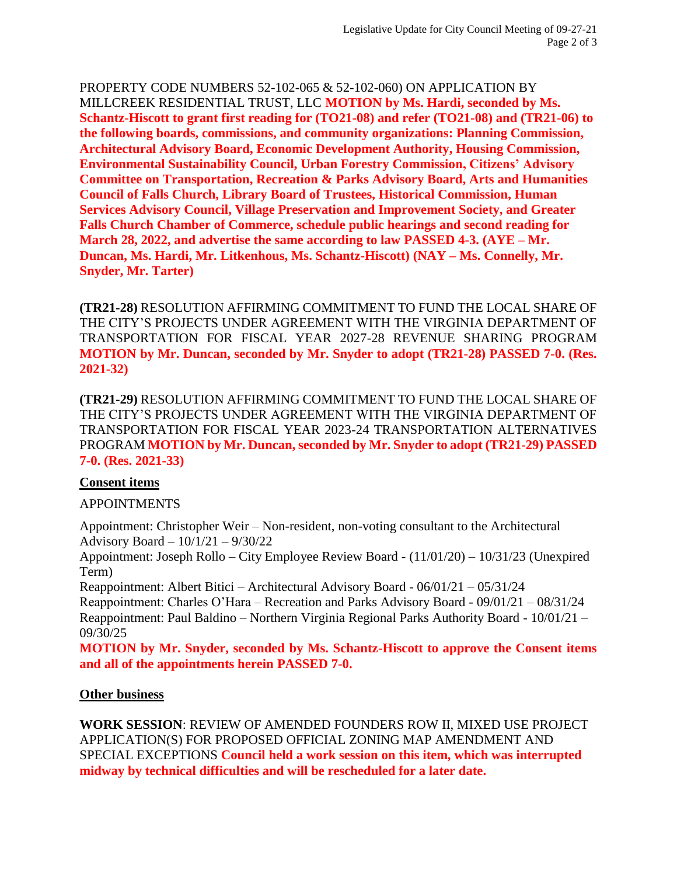PROPERTY CODE NUMBERS 52-102-065 & 52-102-060) ON APPLICATION BY MILLCREEK RESIDENTIAL TRUST, LLC **MOTION by Ms. Hardi, seconded by Ms. Schantz-Hiscott to grant first reading for (TO21-08) and refer (TO21-08) and (TR21-06) to the following boards, commissions, and community organizations: Planning Commission, Architectural Advisory Board, Economic Development Authority, Housing Commission, Environmental Sustainability Council, Urban Forestry Commission, Citizens' Advisory Committee on Transportation, Recreation & Parks Advisory Board, Arts and Humanities Council of Falls Church, Library Board of Trustees, Historical Commission, Human Services Advisory Council, Village Preservation and Improvement Society, and Greater Falls Church Chamber of Commerce, schedule public hearings and second reading for March 28, 2022, and advertise the same according to law PASSED 4-3. (AYE – Mr. Duncan, Ms. Hardi, Mr. Litkenhous, Ms. Schantz-Hiscott) (NAY – Ms. Connelly, Mr. Snyder, Mr. Tarter)**

**(TR21-28)** RESOLUTION AFFIRMING COMMITMENT TO FUND THE LOCAL SHARE OF THE CITY'S PROJECTS UNDER AGREEMENT WITH THE VIRGINIA DEPARTMENT OF TRANSPORTATION FOR FISCAL YEAR 2027-28 REVENUE SHARING PROGRAM **MOTION by Mr. Duncan, seconded by Mr. Snyder to adopt (TR21-28) PASSED 7-0. (Res. 2021-32)**

**(TR21-29)** RESOLUTION AFFIRMING COMMITMENT TO FUND THE LOCAL SHARE OF THE CITY'S PROJECTS UNDER AGREEMENT WITH THE VIRGINIA DEPARTMENT OF TRANSPORTATION FOR FISCAL YEAR 2023-24 TRANSPORTATION ALTERNATIVES PROGRAM **MOTION by Mr. Duncan, seconded by Mr. Snyder to adopt (TR21-29) PASSED 7-0. (Res. 2021-33)**

# **Consent items**

# APPOINTMENTS

Appointment: Christopher Weir – Non-resident, non-voting consultant to the Architectural Advisory Board – 10/1/21 – 9/30/22

Appointment: Joseph Rollo – City Employee Review Board - (11/01/20) – 10/31/23 (Unexpired Term)

Reappointment: Albert Bitici – Architectural Advisory Board - 06/01/21 – 05/31/24 Reappointment: Charles O'Hara – Recreation and Parks Advisory Board - 09/01/21 – 08/31/24 Reappointment: Paul Baldino – Northern Virginia Regional Parks Authority Board - 10/01/21 – 09/30/25

**MOTION by Mr. Snyder, seconded by Ms. Schantz-Hiscott to approve the Consent items and all of the appointments herein PASSED 7-0.**

# **Other business**

**WORK SESSION**: REVIEW OF AMENDED FOUNDERS ROW II, MIXED USE PROJECT APPLICATION(S) FOR PROPOSED OFFICIAL ZONING MAP AMENDMENT AND SPECIAL EXCEPTIONS **Council held a work session on this item, which was interrupted midway by technical difficulties and will be rescheduled for a later date.**